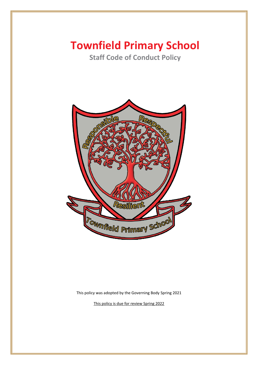# **Townfield Primary School**

**Staff Code of Conduct Policy** 



This policy was adopted by the Governing Body Spring 2021

This policy is due for review Spring 2022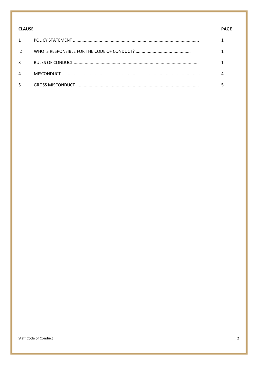| <b>CLAUSE</b> |  | <b>PAGE</b> |
|---------------|--|-------------|
| $\mathbf{1}$  |  |             |
| $\mathcal{L}$ |  |             |
| 3             |  |             |
| 4             |  |             |
| 5             |  |             |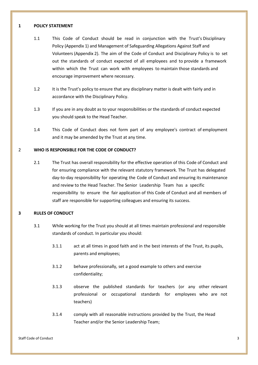#### **1 POLICY STATEMENT**

- 1.1 This Code of Conduct should be read in conjunction with the Trust's Disciplinary Policy (Appendix 1) and Management of Safeguarding Allegations Against Staff and Volunteers (Appendix 2). The aim of the Code of Conduct and Disciplinary Policy is to set out the standards of conduct expected of all employees and to provide a framework within which the Trust can work with employees to maintain those standards and encourage improvement where necessary.
- 1.2 It is the Trust's policy to ensure that any disciplinary matter is dealt with fairly and in accordance with the Disciplinary Policy.
- 1.3 If you are in any doubt as to your responsibilities or the standards of conduct expected you should speak to the Head Teacher.
- 1.4 This Code of Conduct does not form part of any employee's contract of employment and it may be amended by the Trust at any time.

## 2 **WHO IS RESPONSIBLE FOR THE CODE OF CONDUCT?**

2.1 The Trust has overall responsibility for the effective operation of this Code of Conduct and for ensuring compliance with the relevant statutory framework. The Trust has delegated day-to-day responsibility for operating the Code of Conduct and ensuring its maintenance and review to the Head Teacher. The Senior Leadership Team has a specific responsibility to ensure the fair application of this Code of Conduct and all members of staff are responsible for supporting colleagues and ensuring its success.

## **3 RULES OF CONDUCT**

- 3.1 While working for the Trust you should at all times maintain professional and responsible standards of conduct. In particular you should:
	- 3.1.1 act at all times in good faith and in the best interests of the Trust, its pupils, parents and employees;
	- 3.1.2 behave professionally, set a good example to others and exercise confidentiality;
	- 3.1.3 observe the published standards for teachers (or any other relevant professional or occupational standards for employees who are not teachers)
	- 3.1.4 comply with all reasonable instructions provided by the Trust, the Head Teacher and/or the Senior Leadership Team;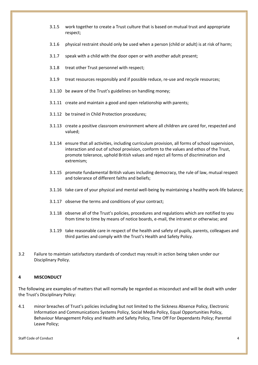- 3.1.5 work together to create a Trust culture that is based on mutual trust and appropriate respect;
- 3.1.6 physical restraint should only be used when a person (child or adult) is at risk of harm;
- 3.1.7 speak with a child with the door open or with another adult present;
- 3.1.8 treat other Trust personnel with respect;
- 3.1.9 treat resources responsibly and if possible reduce, re-use and recycle resources;
- 3.1.10 be aware of the Trust's guidelines on handling money;
- 3.1.11 create and maintain a good and open relationship with parents;
- 3.1.12 be trained in Child Protection procedures;
- 3.1.13 create a positive classroom environment where all children are cared for, respected and valued;
- 3.1.14 ensure that all activities, including curriculum provision, all forms of school supervision, interaction and out of school provision, conform to the values and ethos of the Trust, promote tolerance, uphold British values and reject all forms of discrimination and extremism;
- 3.1.15 promote fundamental British values including democracy, the rule of law, mutual respect and tolerance of different faiths and beliefs;
- 3.1.16 take care of your physical and mental well-being by maintaining a healthy work-life balance;
- 3.1.17 observe the terms and conditions of your contract;
- 3.1.18 observe all of the Trust's policies, procedures and regulations which are notified to you from time to time by means of notice boards, e-mail, the intranet or otherwise; and
- 3.1.19 take reasonable care in respect of the health and safety of pupils, parents, colleagues and third parties and comply with the Trust's Health and Safety Policy.
- 3.2 Failure to maintain satisfactory standards of conduct may result in action being taken under our Disciplinary Policy.

## **4 MISCONDUCT**

The following are examples of matters that will normally be regarded as misconduct and will be dealt with under the Trust's Disciplinary Policy:

4.1 minor breaches of Trust's policies including but not limited to the Sickness Absence Policy, Electronic Information and Communications Systems Policy, Social Media Policy, Equal Opportunities Policy, Behaviour Management Policy and Health and Safety Policy, Time Off For Dependants Policy; Parental Leave Policy;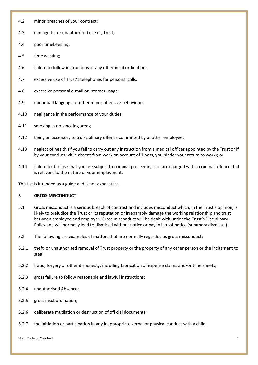- 4.2 minor breaches of your contract;
- 4.3 damage to, or unauthorised use of, Trust;
- 4.4 poor timekeeping;
- 4.5 time wasting;
- 4.6 failure to follow instructions or any other insubordination;
- 4.7 excessive use of Trust's telephones for personal calls;
- 4.8 excessive personal e-mail or internet usage;
- 4.9 minor bad language or other minor offensive behaviour;
- 4.10 negligence in the performance of your duties;
- 4.11 smoking in no-smoking areas;
- 4.12 being an accessory to a disciplinary offence committed by another employee;
- 4.13 neglect of health (if you fail to carry out any instruction from a medical officer appointed by the Trust or if by your conduct while absent from work on account of illness, you hinder your return to work); or
- 4.14 failure to disclose that you are subject to criminal proceedings, or are charged with a criminal offence that is relevant to the nature of your employment.

This list is intended as a guide and is not exhaustive.

## **5 GROSS MISCONDUCT**

- 5.1 Gross misconduct is a serious breach of contract and includes misconduct which, in the Trust's opinion, is likely to prejudice the Trust or its reputation or irreparably damage the working relationship and trust between employee and employer. Gross misconduct will be dealt with under the Trust's Disciplinary Policy and will normally lead to dismissal without notice or pay in lieu of notice (summary dismissal).
- 5.2 The following are examples of matters that are normally regarded as gross misconduct:
- 5.2.1 theft, or unauthorised removal of Trust property or the property of any other person or the incitement to steal;
- 5.2.2 fraud, forgery or other dishonesty, including fabrication of expense claims and/or time sheets;
- 5.2.3 gross failure to follow reasonable and lawful instructions;
- 5.2.4 unauthorised Absence;
- 5.2.5 gross insubordination;
- 5.2.6 deliberate mutilation or destruction of official documents;
- 5.2.7 the initiation or participation in any inappropriate verbal or physical conduct with a child;

Staff Code of Conduct 5 and 2008 to 2008 the conduction of the Staff Code of Conduction 5 and 2008 to 2008 the conduction of the Staff Code of Conduction 5 and 2008 to 2008 the conduction of the conduction of the conductio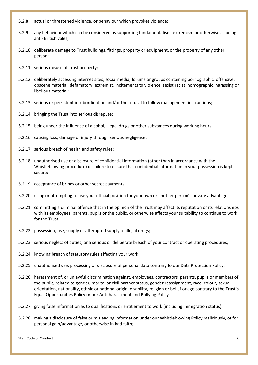- 5.2.8 actual or threatened violence, or behaviour which provokes violence;
- 5.2.9 any behaviour which can be considered as supporting fundamentalism, extremism or otherwise as being anti- British vales;
- 5.2.10 deliberate damage to Trust buildings, fittings, property or equipment, or the property of any other person;
- 5.2.11 serious misuse of Trust property;
- 5.2.12 deliberately accessing internet sites, social media, forums or groups containing pornographic, offensive, obscene material, defamatory, extremist, incitements to violence, sexist racist, homographic, harassing or libellous material;
- 5.2.13 serious or persistent insubordination and/or the refusal to follow management instructions;
- 5.2.14 bringing the Trust into serious disrepute;
- 5.2.15 being under the influence of alcohol, illegal drugs or other substances during working hours;
- 5.2.16 causing loss, damage or injury through serious negligence;
- 5.2.17 serious breach of health and safety rules;
- 5.2.18 unauthorised use or disclosure of confidential information (other than in accordance with the Whistleblowing procedure) or failure to ensure that confidential information in your possession is kept secure;
- 5.2.19 acceptance of bribes or other secret payments;
- 5.2.20 using or attempting to use your official position for your own or another person's private advantage;
- 5.2.21 committing a criminal offence that in the opinion of the Trust may affect its reputation or its relationships with its employees, parents, pupils or the public, or otherwise affects your suitability to continue to work for the Trust;
- 5.2.22 possession, use, supply or attempted supply of illegal drugs;
- 5.2.23 serious neglect of duties, or a serious or deliberate breach of your contract or operating procedures;
- 5.2.24 knowing breach of statutory rules affecting your work;
- 5.2.25 unauthorised use, processing or disclosure of personal data contrary to our Data Protection Policy;
- 5.2.26 harassment of, or unlawful discrimination against, employees, contractors, parents, pupils or members of the public, related to gender, marital or civil partner status, gender reassignment, race, colour, sexual orientation, nationality, ethnic or national origin, disability, religion or belief or age contrary to the Trust's Equal Opportunities Policy or our Anti-harassment and Bullying Policy;
- 5.2.27 giving false information as to qualifications or entitlement to work (including immigration status);
- 5.2.28 making a disclosure of false or misleading information under our Whistleblowing Policy maliciously, or for personal gain/advantage, or otherwise in bad faith;

Staff Code of Conduct 6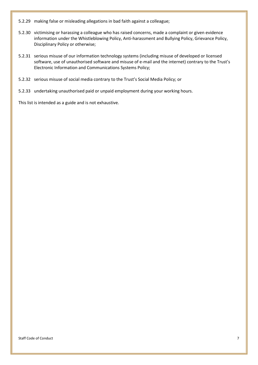- 5.2.29 making false or misleading allegations in bad faith against a colleague;
- 5.2.30 victimising or harassing a colleague who has raised concerns, made a complaint or given evidence information under the Whistleblowing Policy, Anti-harassment and Bullying Policy, Grievance Policy, Disciplinary Policy or otherwise;
- 5.2.31 serious misuse of our information technology systems (including misuse of developed or licensed software, use of unauthorised software and misuse of e-mail and the internet) contrary to the Trust's Electronic Information and Communications Systems Policy;
- 5.2.32 serious misuse of social media contrary to the Trust's Social Media Policy; or
- 5.2.33 undertaking unauthorised paid or unpaid employment during your working hours.

This list is intended as a guide and is not exhaustive.